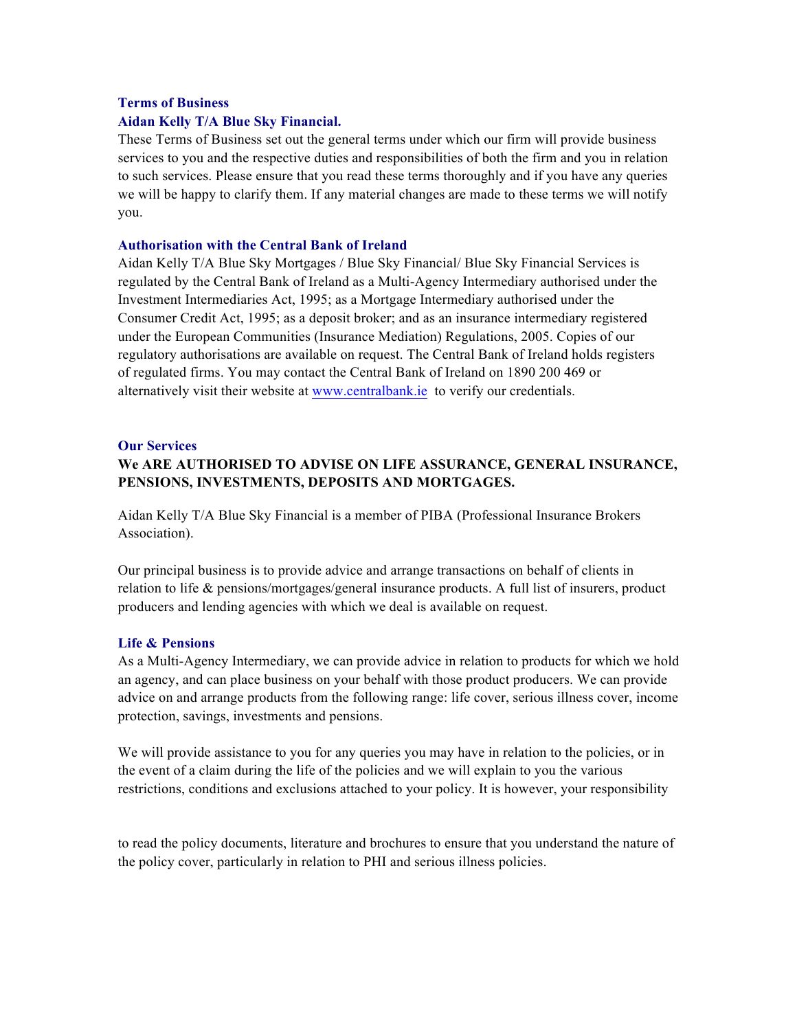#### **Terms of Business**

## **Aidan Kelly T/A Blue Sky Financial.**

These Terms of Business set out the general terms under which our firm will provide business services to you and the respective duties and responsibilities of both the firm and you in relation to such services. Please ensure that you read these terms thoroughly and if you have any queries we will be happy to clarify them. If any material changes are made to these terms we will notify you.

## **Authorisation with the Central Bank of Ireland**

Aidan Kelly T/A Blue Sky Mortgages / Blue Sky Financial/ Blue Sky Financial Services is regulated by the Central Bank of Ireland as a Multi-Agency Intermediary authorised under the Investment Intermediaries Act, 1995; as a Mortgage Intermediary authorised under the Consumer Credit Act, 1995; as a deposit broker; and as an insurance intermediary registered under the European Communities (Insurance Mediation) Regulations, 2005. Copies of our regulatory authorisations are available on request. The Central Bank of Ireland holds registers of regulated firms. You may contact the Central Bank of Ireland on 1890 200 469 or alternatively visit their website at www.centralbank.ie to verify our credentials.

#### **Our Services**

# **We ARE AUTHORISED TO ADVISE ON LIFE ASSURANCE, GENERAL INSURANCE, PENSIONS, INVESTMENTS, DEPOSITS AND MORTGAGES.**

Aidan Kelly T/A Blue Sky Financial is a member of PIBA (Professional Insurance Brokers Association).

Our principal business is to provide advice and arrange transactions on behalf of clients in relation to life & pensions/mortgages/general insurance products. A full list of insurers, product producers and lending agencies with which we deal is available on request.

#### **Life & Pensions**

As a Multi-Agency Intermediary, we can provide advice in relation to products for which we hold an agency, and can place business on your behalf with those product producers. We can provide advice on and arrange products from the following range: life cover, serious illness cover, income protection, savings, investments and pensions.

We will provide assistance to you for any queries you may have in relation to the policies, or in the event of a claim during the life of the policies and we will explain to you the various restrictions, conditions and exclusions attached to your policy. It is however, your responsibility

to read the policy documents, literature and brochures to ensure that you understand the nature of the policy cover, particularly in relation to PHI and serious illness policies.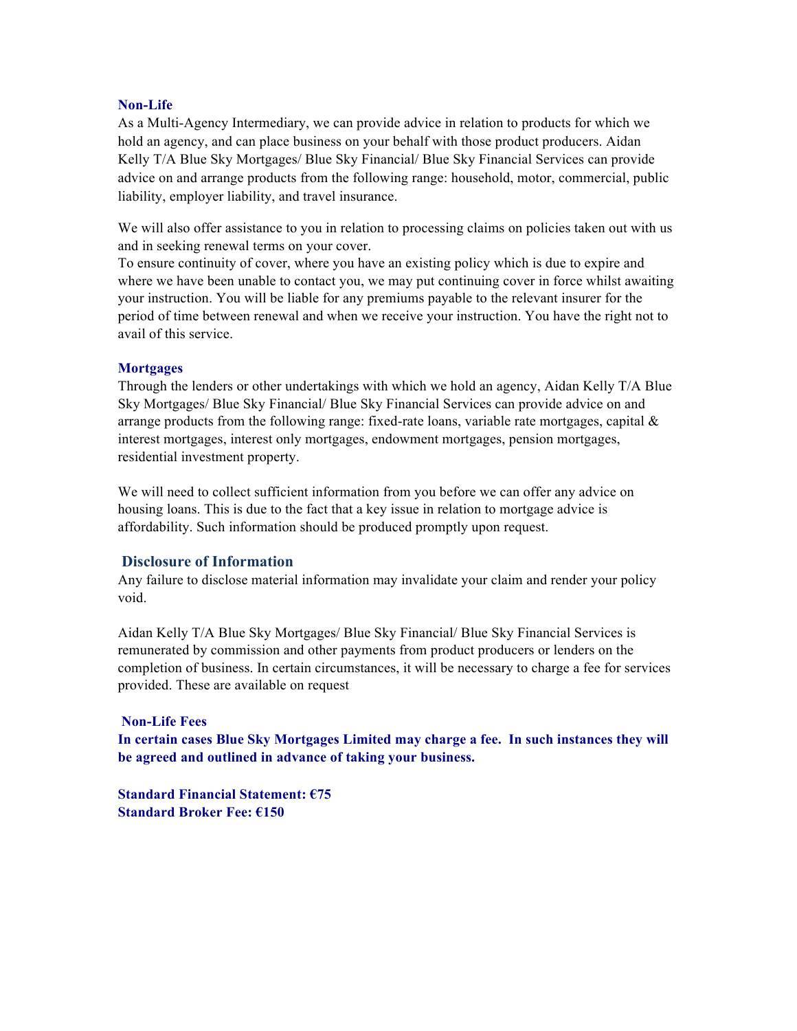## **Non-Life**

As a Multi-Agency Intermediary, we can provide advice in relation to products for which we hold an agency, and can place business on your behalf with those product producers. Aidan Kelly T/A Blue Sky Mortgages/ Blue Sky Financial/ Blue Sky Financial Services can provide advice on and arrange products from the following range: household, motor, commercial, public liability, employer liability, and travel insurance.

We will also offer assistance to you in relation to processing claims on policies taken out with us and in seeking renewal terms on your cover.

To ensure continuity of cover, where you have an existing policy which is due to expire and where we have been unable to contact you, we may put continuing cover in force whilst awaiting your instruction. You will be liable for any premiums payable to the relevant insurer for the period of time between renewal and when we receive your instruction. You have the right not to avail of this service.

## **Mortgages**

Through the lenders or other undertakings with which we hold an agency, Aidan Kelly T/A Blue Sky Mortgages/ Blue Sky Financial/ Blue Sky Financial Services can provide advice on and arrange products from the following range: fixed-rate loans, variable rate mortgages, capital  $\&$ interest mortgages, interest only mortgages, endowment mortgages, pension mortgages, residential investment property.

We will need to collect sufficient information from you before we can offer any advice on housing loans. This is due to the fact that a key issue in relation to mortgage advice is affordability. Such information should be produced promptly upon request.

## **Disclosure of Information**

Any failure to disclose material information may invalidate your claim and render your policy void.

Aidan Kelly T/A Blue Sky Mortgages/ Blue Sky Financial/ Blue Sky Financial Services is remunerated by commission and other payments from product producers or lenders on the completion of business. In certain circumstances, it will be necessary to charge a fee for services provided. These are available on request

#### **Non-Life Fees**

**In certain cases Blue Sky Mortgages Limited may charge a fee. In such instances they will be agreed and outlined in advance of taking your business.** 

**Standard Financial Statement: €75 Standard Broker Fee: €150**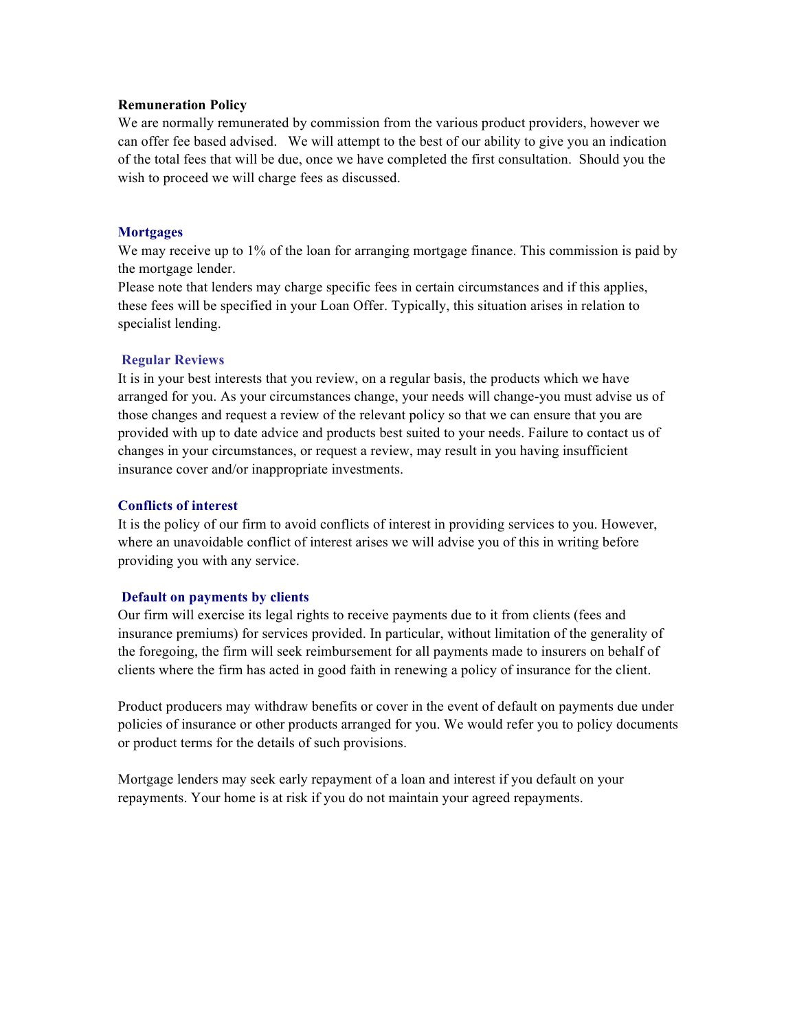#### **Remuneration Policy**

We are normally remunerated by commission from the various product providers, however we can offer fee based advised. We will attempt to the best of our ability to give you an indication of the total fees that will be due, once we have completed the first consultation. Should you the wish to proceed we will charge fees as discussed.

#### **Mortgages**

We may receive up to 1% of the loan for arranging mortgage finance. This commission is paid by the mortgage lender.

Please note that lenders may charge specific fees in certain circumstances and if this applies, these fees will be specified in your Loan Offer. Typically, this situation arises in relation to specialist lending.

## **Regular Reviews**

It is in your best interests that you review, on a regular basis, the products which we have arranged for you. As your circumstances change, your needs will change-you must advise us of those changes and request a review of the relevant policy so that we can ensure that you are provided with up to date advice and products best suited to your needs. Failure to contact us of changes in your circumstances, or request a review, may result in you having insufficient insurance cover and/or inappropriate investments.

## **Conflicts of interest**

It is the policy of our firm to avoid conflicts of interest in providing services to you. However, where an unavoidable conflict of interest arises we will advise you of this in writing before providing you with any service.

## **Default on payments by clients**

Our firm will exercise its legal rights to receive payments due to it from clients (fees and insurance premiums) for services provided. In particular, without limitation of the generality of the foregoing, the firm will seek reimbursement for all payments made to insurers on behalf of clients where the firm has acted in good faith in renewing a policy of insurance for the client.

Product producers may withdraw benefits or cover in the event of default on payments due under policies of insurance or other products arranged for you. We would refer you to policy documents or product terms for the details of such provisions.

Mortgage lenders may seek early repayment of a loan and interest if you default on your repayments. Your home is at risk if you do not maintain your agreed repayments.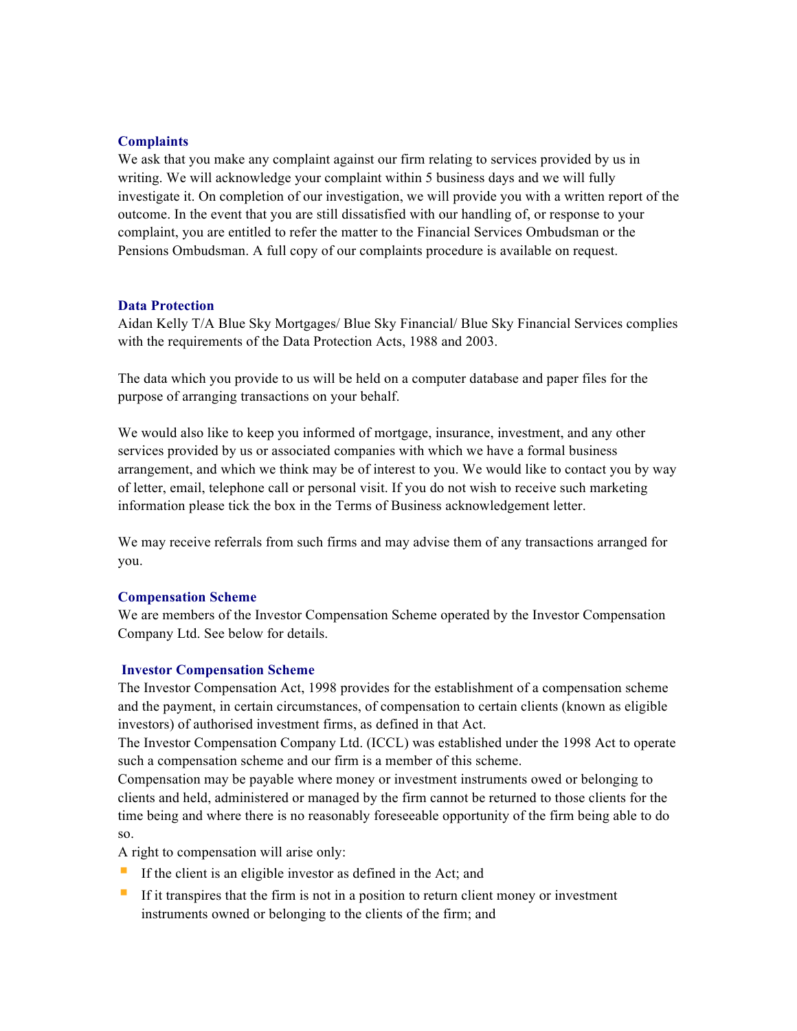## **Complaints**

We ask that you make any complaint against our firm relating to services provided by us in writing. We will acknowledge your complaint within 5 business days and we will fully investigate it. On completion of our investigation, we will provide you with a written report of the outcome. In the event that you are still dissatisfied with our handling of, or response to your complaint, you are entitled to refer the matter to the Financial Services Ombudsman or the Pensions Ombudsman. A full copy of our complaints procedure is available on request.

#### **Data Protection**

Aidan Kelly T/A Blue Sky Mortgages/ Blue Sky Financial/ Blue Sky Financial Services complies with the requirements of the Data Protection Acts, 1988 and 2003.

The data which you provide to us will be held on a computer database and paper files for the purpose of arranging transactions on your behalf.

We would also like to keep you informed of mortgage, insurance, investment, and any other services provided by us or associated companies with which we have a formal business arrangement, and which we think may be of interest to you. We would like to contact you by way of letter, email, telephone call or personal visit. If you do not wish to receive such marketing information please tick the box in the Terms of Business acknowledgement letter.

We may receive referrals from such firms and may advise them of any transactions arranged for you.

#### **Compensation Scheme**

We are members of the Investor Compensation Scheme operated by the Investor Compensation Company Ltd. See below for details.

#### **Investor Compensation Scheme**

The Investor Compensation Act, 1998 provides for the establishment of a compensation scheme and the payment, in certain circumstances, of compensation to certain clients (known as eligible investors) of authorised investment firms, as defined in that Act.

The Investor Compensation Company Ltd. (ICCL) was established under the 1998 Act to operate such a compensation scheme and our firm is a member of this scheme.

Compensation may be payable where money or investment instruments owed or belonging to clients and held, administered or managed by the firm cannot be returned to those clients for the time being and where there is no reasonably foreseeable opportunity of the firm being able to do so.

A right to compensation will arise only:

- If the client is an eligible investor as defined in the Act; and
- **•** If it transpires that the firm is not in a position to return client money or investment instruments owned or belonging to the clients of the firm; and